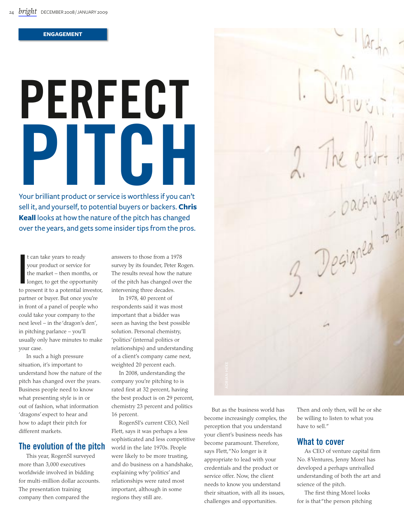#### **ENGAGEMENT**

# **PerFeCt PitCh**

Your brilliant product or service is worthless if you can't sell it, and yourself, to potential buyers or backers. **Chris Keall** looks at how the nature of the pitch has changed over the years, and gets some insider tips from the pros.

t can take years to ready<br>your product or service for<br>the market – then months, or<br>longer, to get the opportunity<br>to present it to a potential investor, t can take years to ready your product or service for the market – then months, or longer, to get the opportunity partner or buyer. But once you're in front of a panel of people who could take your company to the next level – in the 'dragon's den', in pitching parlance – you'll usually only have minutes to make your case.

In such a high pressure situation, it's important to understand how the nature of the pitch has changed over the years. Business people need to know what presenting style is in or out of fashion, what information 'dragons' expect to hear and how to adapt their pitch for different markets.

#### **the evolution of the pitch**

This year, RogenSI surveyed more than 3,000 executives worldwide involved in bidding for multi-million dollar accounts. The presentation training company then compared the

answers to those from a 1978 survey by its founder, Peter Rogen. The results reveal how the nature of the pitch has changed over the intervening three decades.

In 1978, 40 percent of respondents said it was most important that a bidder was seen as having the best possible solution. Personal chemistry, 'politics' (internal politics or relationships) and understanding of a client's company came next, weighted 20 percent each.

In 2008, understanding the company you're pitching to is rated first at 32 percent, having the best product is on 29 percent, chemistry 23 percent and politics 16 percent.

RogenSI's current CEO, Neil Flett, says it was perhaps a less sophisticated and less competitive world in the late 1970s. People were likely to be more trusting, and do business on a handshake, explaining why 'politics' and relationships were rated most important, although in some regions they still are.

n.<br>Loacting people<br>3. Designed to the

But as the business world has become increasingly complex, the perception that you understand your client's business needs has become paramount. Therefore, says Flett, "No longer is it appropriate to lead with your credentials and the product or service offer. Now, the client needs to know you understand their situation, with all its issues, challenges and opportunities.

Then and only then, will he or she be willing to listen to what you have to sell."

### **What to cover**

As CEO of venture capital firm No. 8 Ventures, Jenny Morel has developed a perhaps unrivalled understanding of both the art and science of the pitch.

The first thing Morel looks for is that "the person pitching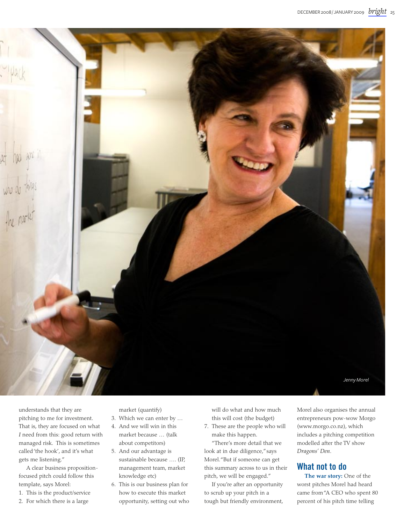

understands that they are pitching to me for investment. That is, they are focused on what *I* need from this: good return with managed risk. This is sometimes called 'the hook', and it's what gets me listening."

A clear business propositionfocused pitch could follow this template, says Morel:

- 1. This is the product/service
- 2. For which there is a large

market (quantify)

- 3. Which we can enter by … 4. And we will win in this market because … (talk
- about competitors) 5. And our advantage is
- sustainable because …. (IP, management team, market knowledge etc)
- 6. This is our business plan for how to execute this market opportunity, setting out who

will do what and how much this will cost (the budget)

7. These are the people who will make this happen.

"There's more detail that we look at in due diligence," says Morel. "But if someone can get this summary across to us in their pitch, we will be engaged."

If you're after an opportunity to scrub up your pitch in a tough but friendly environment,

Morel also organises the annual entrepreneurs pow-wow Morgo (www.morgo.co.nz), which includes a pitching competition modelled after the TV show *Dragons' Den*.

### **What not to do**

**The war story:** One of the worst pitches Morel had heard came from "A CEO who spent 80 percent of his pitch time telling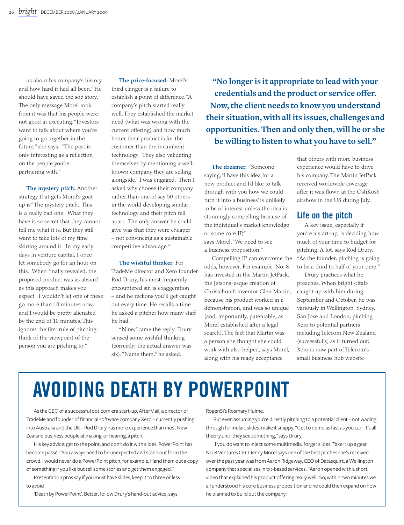us about his company's history and how hard it had all been." He should have saved the sob story. The only message Morel took from it was that his people were not good at executing. "Investors want to talk about where you're going to go together in the future," she says. "The past is only interesting as a reflection on the people you're partnering with."

**The mystery pitch:** Another strategy that gets Morel's goat up is "The mystery pitch. This is a really bad one. What they have is so secret that they cannot tell me what it is. But they still want to take lots of my time skirting around it. In my early days in venture capital, I once let somebody go for an hour on this. When finally revealed, the proposed product was as absurd as this approach makes you expect. I wouldn't let one of these go more than 10 minutes now, and I would be pretty alienated by the end of 10 minutes. This ignores the first rule of pitching: think of the viewpoint of the person you are pitching to."

**The price-focused:** Morel's third clanger is a failure to establish a point of difference. "A company's pitch started really well. They established the market need (what was wrong with the current offering) and how much better their product is for the customer than the incumbent technology. They also validating themselves by mentioning a wellknown company they are selling alongside. I was engaged. Then I asked why choose their company rather than one of say 50 others in the world developing similar technology and their pitch fell apart. The only answer he could give was that they were cheaper – not convincing as a sustainable competitive advantage."

#### **The wishful thinker:** For

TradeMe director and Xero founder Rod Drury, his most frequently encountered sin is exaggeration – and he reckons you'll get caught out every time. He recalls a time he asked a pitcher how many staff he had.

"Nine," came the reply. Drury sensed some wishful thinking (correctly; the actual answer was six). "Name them," he asked.

**"No longer is it appropriate to lead with your credentials and the product or service offer. Now, the client needs to know you understand their situation, with all its issues, challenges and opportunities. Then and only then, will he or she be willing to listen to what you have to sell."**

**The dreamer:** "Someone saying, 'I have this idea for a new product and I'd like to talk through with you how we could turn it into a business' is unlikely to be of interest unless the idea is stunningly compelling because of the individual's market knowledge or some core IP,"

says Morel. "We need to see a business proposition."

Compelling IP can overcome the odds, however. For example, No. 8 has invested in the Martin JetPack, the Jetsons-esque creation of Christchurch inventor Glen Martin, because his product worked in a demonstration, and was so unique (and, importantly, patentable, as Morel established after a legal search). The fact that Martin was a person she thought she could work with also helped, says Morel, along with his ready acceptance

that others with more business experience would have to drive his company. The Martin JetPack received worldwide coverage after it was flown at the OshKosh airshow in the US during July.

### **Life on the pitch**

A key issue, especially if you're a start-up, is deciding how much of your time to budget for pitching. A lot, says Rod Drury. "As the founder, pitching is going to be a third to half of your time."

Drury practices what he preaches. When bright <ital> caught up with him during September and October, he was variously in Wellington, Sydney, San Jose and London, pitching Xero to potential partners including Telecom New Zealand (successfully, as it turned out; Xero is now part of Telecom's small business hub website

# **Avoiding death by PowerPoint**

Asthe CEO of a successful dot.comera start-up, AfterMail, a director of TradeMe and founder of financialsoftware company Xero – currently pushing into Australia and the UK - Rod Drury has more experience than most New Zealand business people at making, or hearing, a pitch.

His key advice: get to the point, and don't do it with slides. PowerPoint has become passé. "You always need to be unexpected and stand out from the crowd. Iwould never do a PowerPoint pitch, for example.Hand themout a copy of something if you like but tell some stories and get them engaged."

Presentation pros say if you must have slides, keep it to three or less to avoid

'Death by PowerPoint'. Better, follow Drury's hand-out advice, says

RogenSi's Rosmary Hulme.

But even assuming you're directly pitching to a potential client - not wading through formulaic slides, make it snappy. "Get to demo as fast as you can. It's all theory until they see something," says Drury.

If you do want to inject some multimedia, forget slides. Take it up a gear. No. 8 Ventures CEO Jenny Morel says one of the best pitches she's received over the past year was from Aaron Ridgeway, CEO of Datasquirt, a Wellington company that specialises in txt-based services. "Aaron opened with a short video that explained his product offering really well. So, within two minutes we all understood his core business proposition and he could then expand on how he planned to build out the company."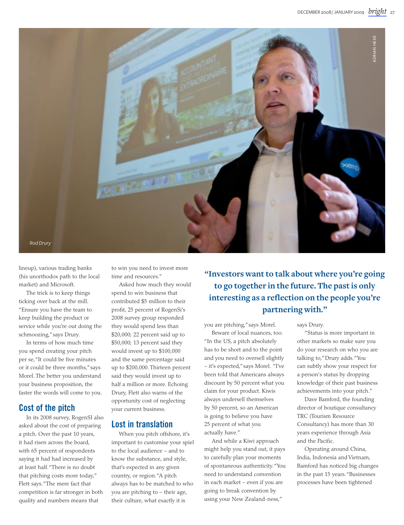

lineup), various trading banks (his unorthodox path to the local market) and Microsoft.

The trick is to keep things ticking over back at the mill. "Ensure you have the team to keep building the product or service while you're out doing the schmoozing," says Drury.

In terms of how much time you spend creating your pitch per se, "It could be five minutes or it could be three months," says Morel. The better you understand your business proposition, the faster the words will come to you.

### **Cost of the pitch**

In its 2008 survey, RogenSI also asked about the cost of preparing a pitch. Over the past 10 years, it had risen across the board, with 65 percent of respondents saying it had had increased by at least half. "There is no doubt that pitching costs more today," Flett says. "The mere fact that competition is far stronger in both quality and numbers means that

to win you need to invest more time and resources."

Asked how much they would spend to win business that contributed \$5 million to their profit, 25 percent of RogenSi's 2008 survey group responded they would spend less than \$20,000; 22 percent said up to \$50,000; 13 percent said they would invest up to \$100,000 and the same percentage said up to \$200,000. Thirteen percent said they would invest up to half a million or more. Echoing Drury, Flett also warns of the opportunity cost of neglecting your current business.

### **Lost in translation**

When you pitch offshore, it's important to customise your spiel to the local audience – and to know the substance, and style, that's expected in any given country, or region. "A pitch always has to be matched to who you are pitching to – their age, their culture, what exactly it is

**"Investors want to talk about where you're going to go together in the future. The past is only interesting as a reflection on the people you're partnering with."**

you are pitching," says Morel.

Beware of local nuances, too. "In the US, a pitch absolutely has to be short and to the point and you need to oversell slightly – it's expected," says Morel. "I've been told that Americans always discount by 50 percent what you claim for your product. Kiwis always undersell themselves by 50 percent, so an American is going to believe you have 25 percent of what you actually have."

And while a Kiwi approach might help you stand out, it pays to carefully plan your moments of spontaneous authenticity. "You need to understand convention in each market – even if you are going to break convention by using your New Zealand-ness,"

says Drury.

"Status is more important in other markets so make sure you do your research on who you are talking to," Drury adds. "You can subtly show your respect for a person's status by dropping knowledge of their past business achievements into your pitch."

Dave Bamford, the founding director of boutique consultancy TRC (Tourism Resource Consultancy) has more than 30 years experience through Asia and the Pacific.

Operating around China, India, Indonesia and Vietnam, Bamford has noticed big changes in the past 15 years. "Businesses processes have been tightened